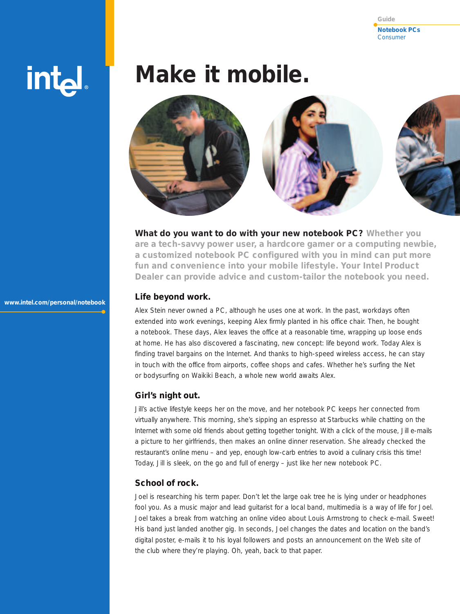**Notebook PCs** Consumer **Guide**

# intd.

**www.intel.com/personal/notebook**

# **Make it mobile.**



**What do you want to do with your new notebook PC? Whether you are a tech-savvy power user, a hardcore gamer or a computing newbie, a customized notebook PC configured with you in mind can put more fun and convenience into your mobile lifestyle. Your Intel Product Dealer can provide advice and custom-tailor the notebook you need.** 

#### **Life beyond work.**

Alex Stein never owned a PC, although he uses one at work. In the past, workdays often extended into work evenings, keeping Alex firmly planted in his office chair. Then, he bought a notebook. These days, Alex leaves the office at a reasonable time, wrapping up loose ends at home. He has also discovered a fascinating, new concept: life beyond work. Today Alex is finding travel bargains on the Internet. And thanks to high-speed wireless access, he can stay in touch with the office from airports, coffee shops and cafes. Whether he's surfing the Net or bodysurfing on Waikiki Beach, a whole new world awaits Alex.

### **Girl's night out.**

Jill's active lifestyle keeps her on the move, and her notebook PC keeps her connected from virtually anywhere. This morning, she's sipping an espresso at Starbucks while chatting on the Internet with some old friends about getting together tonight. With a click of the mouse, Jill e-mails a picture to her girlfriends, then makes an online dinner reservation. She already checked the restaurant's online menu – and yep, enough low-carb entries to avoid a culinary crisis this time! Today, Jill is sleek, on the go and full of energy – just like her new notebook PC.

# **School of rock.**

Joel is researching his term paper. Don't let the large oak tree he is lying under or headphones fool you. As a music major and lead guitarist for a local band, multimedia is a way of life for Joel. Joel takes a break from watching an online video about Louis Armstrong to check e-mail. Sweet! His band just landed another gig. In seconds, Joel changes the dates and location on the band's digital poster, e-mails it to his loyal followers and posts an announcement on the Web site of the club where they're playing. Oh, yeah, back to that paper.